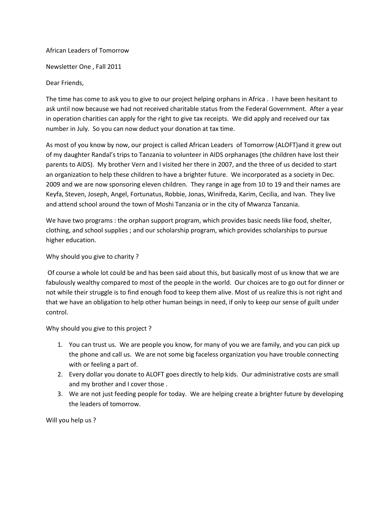## African Leaders of Tomorrow

Newsletter One , Fall 2011

Dear Friends,

The time has come to ask you to give to our project helping orphans in Africa . I have been hesitant to ask until now because we had not received charitable status from the Federal Government. After a year in operation charities can apply for the right to give tax receipts. We did apply and received our tax number in July. So you can now deduct your donation at tax time.

As most of you know by now, our project is called African Leaders of Tomorrow (ALOFT)and it grew out of my daughter Randal's trips to Tanzania to volunteer in AIDS orphanages (the children have lost their parents to AIDS). My brother Vern and I visited her there in 2007, and the three of us decided to start an organization to help these children to have a brighter future. We incorporated as a society in Dec. 2009 and we are now sponsoring eleven children. They range in age from 10 to 19 and their names are Keyfa, Steven, Joseph, Angel, Fortunatus, Robbie, Jonas, Winifreda, Karim, Cecilia, and Ivan. They live and attend school around the town of Moshi Tanzania or in the city of Mwanza Tanzania.

We have two programs : the orphan support program, which provides basic needs like food, shelter, clothing, and school supplies ; and our scholarship program, which provides scholarships to pursue higher education.

Why should you give to charity ?

Of course a whole lot could be and has been said about this, but basically most of us know that we are fabulously wealthy compared to most of the people in the world. Our choices are to go out for dinner or not while their struggle is to find enough food to keep them alive. Most of us realize this is not right and that we have an obligation to help other human beings in need, if only to keep our sense of guilt under control.

Why should you give to this project ?

- 1. You can trust us. We are people you know, for many of you we are family, and you can pick up the phone and call us. We are not some big faceless organization you have trouble connecting with or feeling a part of.
- 2. Every dollar you donate to ALOFT goes directly to help kids. Our administrative costs are small and my brother and I cover those .
- 3. We are not just feeding people for today. We are helping create a brighter future by developing the leaders of tomorrow.

Will you help us ?